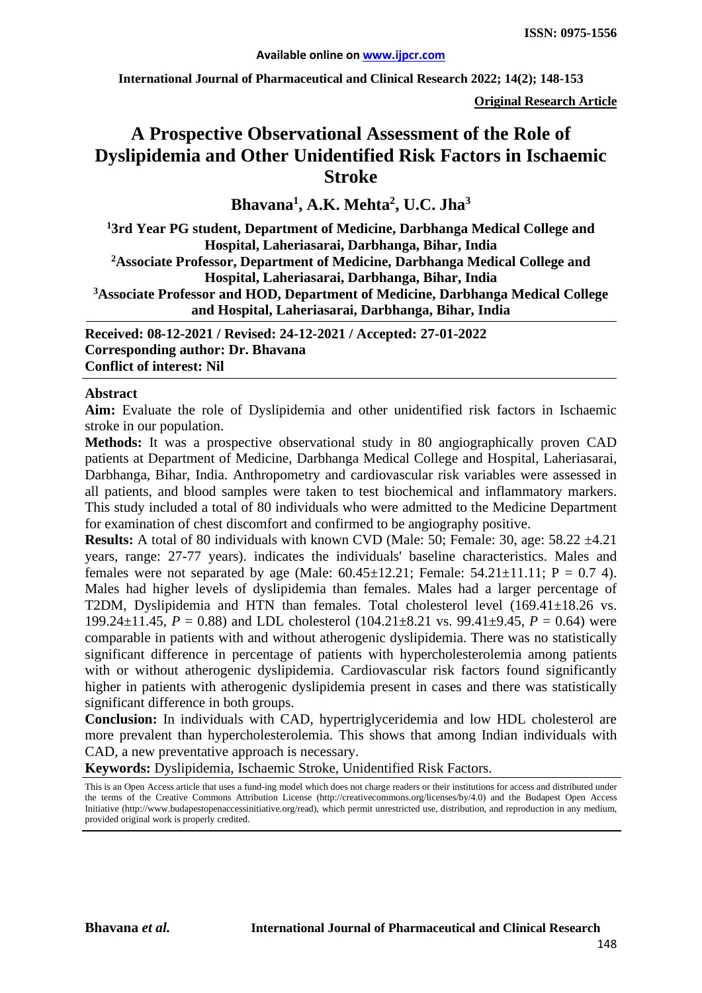**International Journal of Pharmaceutical and Clinical Research 2022; 14(2); 148-153**

**Original Research Article**

# **A Prospective Observational Assessment of the Role of Dyslipidemia and Other Unidentified Risk Factors in Ischaemic Stroke**

## **Bhavana1 , A.K. Mehta2 , U.C. Jha3**

**1 3rd Year PG student, Department of Medicine, Darbhanga Medical College and Hospital, Laheriasarai, Darbhanga, Bihar, India 2Associate Professor, Department of Medicine, Darbhanga Medical College and Hospital, Laheriasarai, Darbhanga, Bihar, India 3Associate Professor and HOD, Department of Medicine, Darbhanga Medical College and Hospital, Laheriasarai, Darbhanga, Bihar, India**

**Received: 08-12-2021 / Revised: 24-12-2021 / Accepted: 27-01-2022 Corresponding author: Dr. Bhavana Conflict of interest: Nil**

#### **Abstract**

**Aim:** Evaluate the role of Dyslipidemia and other unidentified risk factors in Ischaemic stroke in our population.

**Methods:** It was a prospective observational study in 80 angiographically proven CAD patients at Department of Medicine, Darbhanga Medical College and Hospital, Laheriasarai, Darbhanga, Bihar, India. Anthropometry and cardiovascular risk variables were assessed in all patients, and blood samples were taken to test biochemical and inflammatory markers. This study included a total of 80 individuals who were admitted to the Medicine Department for examination of chest discomfort and confirmed to be angiography positive.

**Results:** A total of 80 individuals with known CVD (Male: 50; Female: 30, age: 58.22 ±4.21 years, range: 27-77 years). indicates the individuals' baseline characteristics. Males and females were not separated by age (Male:  $60.45 \pm 12.21$ ; Female:  $54.21 \pm 11.11$ ; P = 0.7 4). Males had higher levels of dyslipidemia than females. Males had a larger percentage of T2DM, Dyslipidemia and HTN than females. Total cholesterol level (169.41±18.26 vs. 199.24 $\pm$ 11.45, *P* = 0.88) and LDL cholesterol (104.21 $\pm$ 8.21 vs. 99.41 $\pm$ 9.45, *P* = 0.64) were comparable in patients with and without atherogenic dyslipidemia. There was no statistically significant difference in percentage of patients with hypercholesterolemia among patients with or without atherogenic dyslipidemia. Cardiovascular risk factors found significantly higher in patients with atherogenic dyslipidemia present in cases and there was statistically significant difference in both groups.

**Conclusion:** In individuals with CAD, hypertriglyceridemia and low HDL cholesterol are more prevalent than hypercholesterolemia. This shows that among Indian individuals with CAD, a new preventative approach is necessary.

**Keywords:** Dyslipidemia, Ischaemic Stroke, Unidentified Risk Factors.

This is an Open Access article that uses a fund-ing model which does not charge readers or their institutions for access and distributed under the terms of the Creative Commons Attribution License (http://creativecommons.org/licenses/by/4.0) and the Budapest Open Access Initiative (http://www.budapestopenaccessinitiative.org/read), which permit unrestricted use, distribution, and reproduction in any medium, provided original work is properly credited.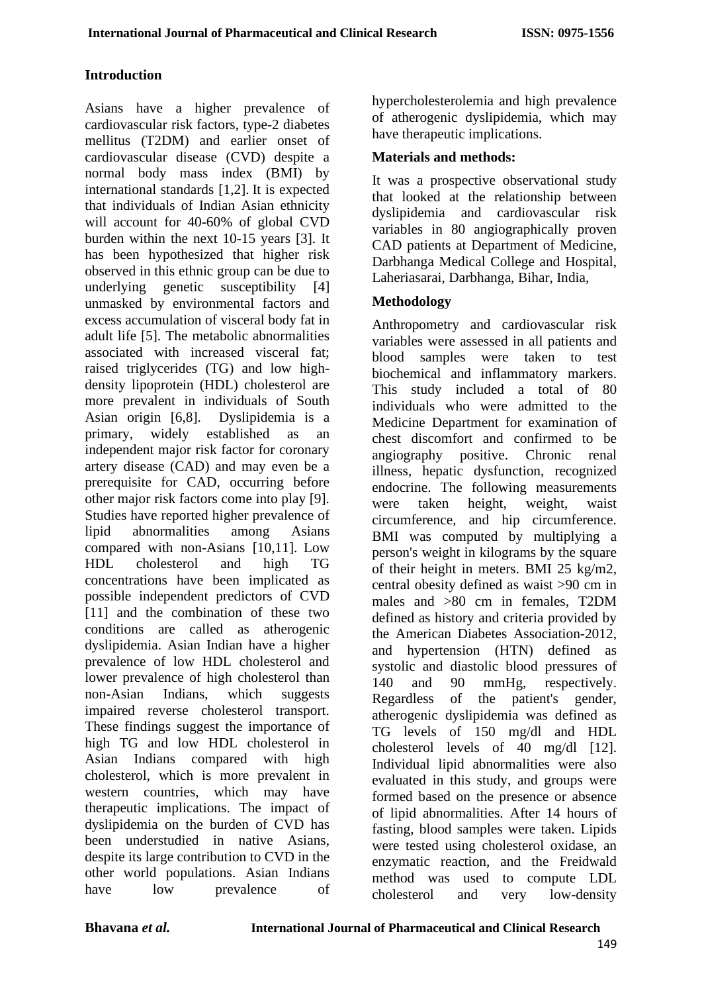## **Introduction**

Asians have a higher prevalence of cardiovascular risk factors, type-2 diabetes mellitus (T2DM) and earlier onset of cardiovascular disease (CVD) despite a normal body mass index (BMI) by international standards [1,2]. It is expected that individuals of Indian Asian ethnicity will account for 40-60% of global CVD burden within the next 10-15 years [3]. It has been hypothesized that higher risk observed in this ethnic group can be due to underlying genetic susceptibility [4] unmasked by environmental factors and excess accumulation of visceral body fat in adult life [5]. The metabolic abnormalities associated with increased visceral fat; raised triglycerides (TG) and low highdensity lipoprotein (HDL) cholesterol are more prevalent in individuals of South Asian origin [6,8]. Dyslipidemia is a primary, widely established as an independent major risk factor for coronary artery disease (CAD) and may even be a prerequisite for CAD, occurring before other major risk factors come into play [9]. Studies have reported higher prevalence of lipid abnormalities among Asians compared with non-Asians [10,11]. Low HDL cholesterol and high TG concentrations have been implicated as possible independent predictors of CVD [11] and the combination of these two conditions are called as atherogenic dyslipidemia. Asian Indian have a higher prevalence of low HDL cholesterol and lower prevalence of high cholesterol than non-Asian Indians, which suggests impaired reverse cholesterol transport. These findings suggest the importance of high TG and low HDL cholesterol in Asian Indians compared with high cholesterol, which is more prevalent in western countries, which may have therapeutic implications. The impact of dyslipidemia on the burden of CVD has been understudied in native Asians, despite its large contribution to CVD in the other world populations. Asian Indians have low prevalence of

hypercholesterolemia and high prevalence of atherogenic dyslipidemia, which may have therapeutic implications.

#### **Materials and methods:**

It was a prospective observational study that looked at the relationship between dyslipidemia and cardiovascular risk variables in 80 angiographically proven CAD patients at Department of Medicine, Darbhanga Medical College and Hospital, Laheriasarai, Darbhanga, Bihar, India,

### **Methodology**

Anthropometry and cardiovascular risk variables were assessed in all patients and blood samples were taken to test biochemical and inflammatory markers. This study included a total of 80 individuals who were admitted to the Medicine Department for examination of chest discomfort and confirmed to be angiography positive. Chronic renal illness, hepatic dysfunction, recognized endocrine. The following measurements were taken height, weight, waist circumference, and hip circumference. BMI was computed by multiplying a person's weight in kilograms by the square of their height in meters. BMI 25 kg/m2, central obesity defined as waist >90 cm in males and >80 cm in females, T2DM defined as history and criteria provided by the American Diabetes Association-2012, and hypertension (HTN) defined as systolic and diastolic blood pressures of 140 and 90 mmHg, respectively. Regardless of the patient's gender, atherogenic dyslipidemia was defined as TG levels of 150 mg/dl and HDL cholesterol levels of 40 mg/dl [12]. Individual lipid abnormalities were also evaluated in this study, and groups were formed based on the presence or absence of lipid abnormalities. After 14 hours of fasting, blood samples were taken. Lipids were tested using cholesterol oxidase, an enzymatic reaction, and the Freidwald method was used to compute LDL cholesterol and very low-density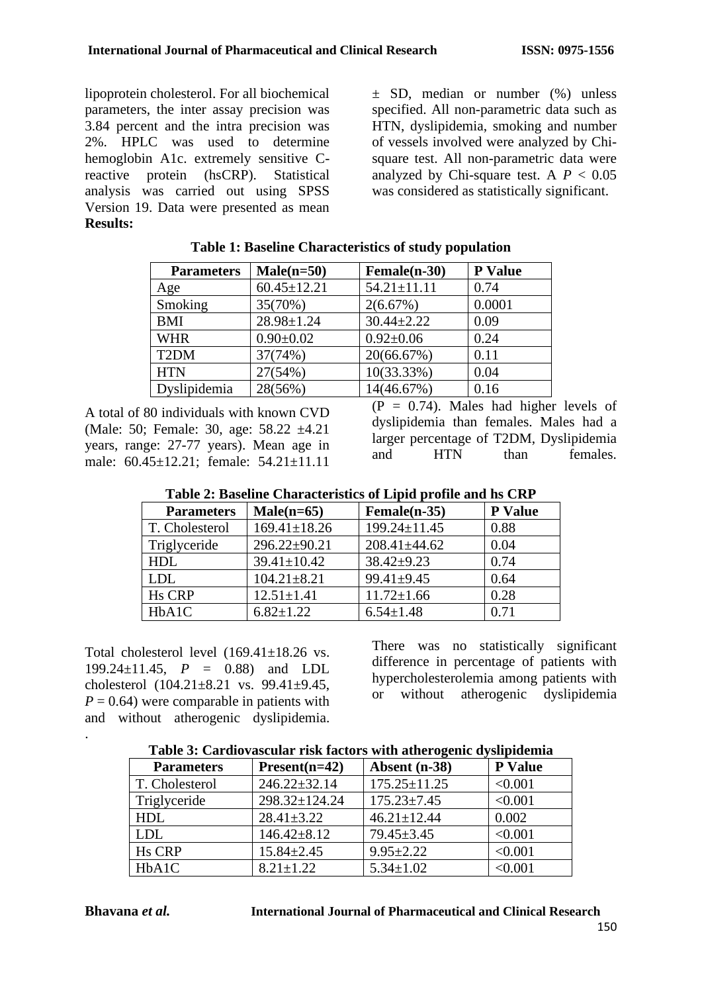lipoprotein cholesterol. For all biochemical parameters, the inter assay precision was 3.84 percent and the intra precision was 2%. HPLC was used to determine hemoglobin A1c. extremely sensitive Creactive protein (hsCRP). Statistical analysis was carried out using SPSS Version 19. Data were presented as mean **Results:**

 $\pm$  SD, median or number (%) unless specified. All non-parametric data such as HTN, dyslipidemia, smoking and number of vessels involved were analyzed by Chisquare test. All non-parametric data were analyzed by Chi-square test. A  $P < 0.05$ was considered as statistically significant.

| <b>Parameters</b> | $Male(n=50)$      | Female(n-30)      | <b>P</b> Value |
|-------------------|-------------------|-------------------|----------------|
| Age               | $60.45 \pm 12.21$ | $54.21 \pm 11.11$ | 0.74           |
| Smoking           | 35(70%)           | 2(6.67%)          | 0.0001         |
| <b>BMI</b>        | $28.98 \pm 1.24$  | $30.44 \pm 2.22$  | 0.09           |
| <b>WHR</b>        | $0.90 \pm 0.02$   | $0.92 \pm 0.06$   | 0.24           |
| T <sub>2</sub> DM | 37(74%)           | 20(66.67%)        | 0.11           |
| <b>HTN</b>        | 27(54%)           | $10(33.33\%)$     | 0.04           |
| Dyslipidemia      | 28(56%)           | 14(46.67%)        | 0.16           |

#### **Table 1: Baseline Characteristics of study population**

A total of 80 individuals with known CVD (Male: 50; Female: 30, age: 58.22 ±4.21 years, range: 27-77 years). Mean age in male: 60.45±12.21; female: 54.21±11.11  $(P = 0.74)$ . Males had higher levels of dyslipidemia than females. Males had a larger percentage of T2DM, Dyslipidemia and HTN than females.

| Table 2. Dascline Characteristics of Lipiu profile and its CKT |                    |                    |                |
|----------------------------------------------------------------|--------------------|--------------------|----------------|
| <b>Parameters</b>                                              | $Male(n=65)$       | Female(n-35)       | <b>P</b> Value |
| T. Cholesterol                                                 | $169.41 \pm 18.26$ | 199.24±11.45       | 0.88           |
| Triglyceride                                                   | $296.22 \pm 90.21$ | $208.41 \pm 44.62$ | 0.04           |
| HDL                                                            | $39.41 \pm 10.42$  | $38.42 + 9.23$     | 0.74           |
| <b>LDL</b>                                                     | $104.21 \pm 8.21$  | $99.41 \pm 9.45$   | 0.64           |
| <b>Hs CRP</b>                                                  | $12.51 \pm 1.41$   | $11.72 \pm 1.66$   | 0.28           |
| HbA1C                                                          | $6.82 \pm 1.22$    | $6.54 \pm 1.48$    | 0.71           |

| Table 2: Baseline Characteristics of Lipid profile and hs CRP |  |  |  |
|---------------------------------------------------------------|--|--|--|
|---------------------------------------------------------------|--|--|--|

Total cholesterol level  $(169.41+18.26 \text{ vs.})$ 199.24±11.45, *P* = 0.88) and LDL cholesterol (104.21±8.21 vs. 99.41±9.45,  $P = 0.64$ ) were comparable in patients with and without atherogenic dyslipidemia. There was no statistically significant difference in percentage of patients with hypercholesterolemia among patients with or without atherogenic dyslipidemia

| Table 3: Cardiovascular risk factors with atherogenic dyslipidemia |  |  |
|--------------------------------------------------------------------|--|--|
|                                                                    |  |  |

| <b>Parameters</b> | $Present(n=42)$    | Absent (n-38)      | P Value        |
|-------------------|--------------------|--------------------|----------------|
| T. Cholesterol    | $246.22 \pm 32.14$ | $175.25 \pm 11.25$ | < 0.001        |
| Triglyceride      | 298.32±124.24      | $175.23 \pm 7.45$  | < 0.001        |
| <b>HDL</b>        | $28.41 \pm 3.22$   | $46.21 \pm 12.44$  | 0.002          |
| <b>LDL</b>        | $146.42 \pm 8.12$  | $79.45 \pm 3.45$   | < 0.001        |
| <b>Hs CRP</b>     | $15.84 \pm 2.45$   | $9.95 \pm 2.22$    | < 0.001        |
| HbA1C             | $8.21 \pm 1.22$    | $5.34 \pm 1.02$    | $<$ 0.001 $\,$ |

.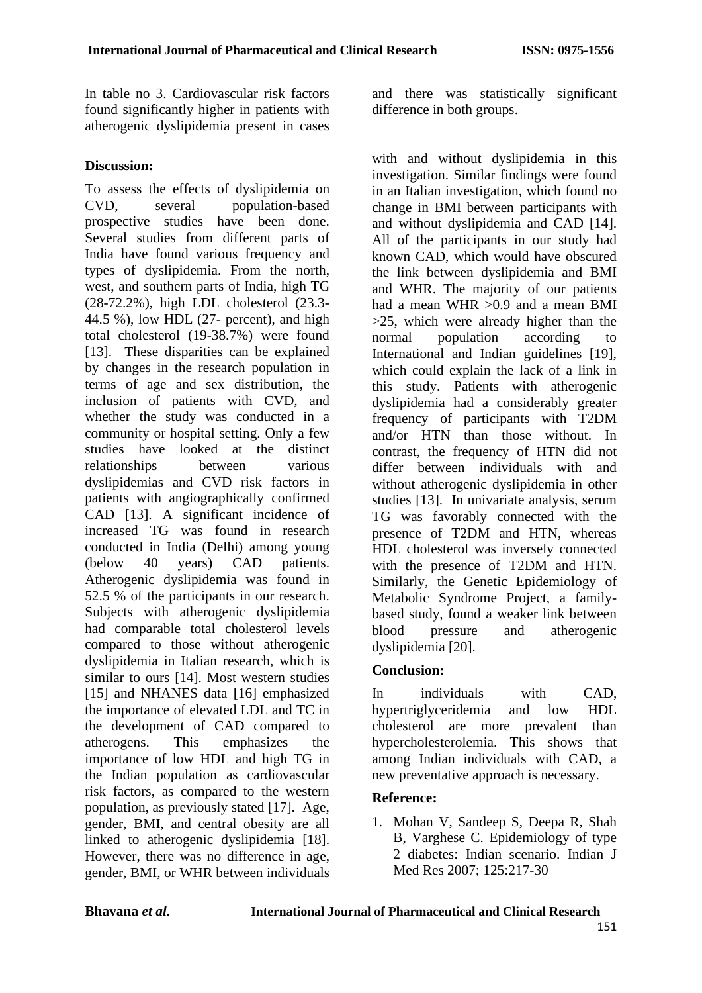In table no 3. Cardiovascular risk factors found significantly higher in patients with atherogenic dyslipidemia present in cases

#### **Discussion:**

To assess the effects of dyslipidemia on CVD, several population-based prospective studies have been done. Several studies from different parts of India have found various frequency and types of dyslipidemia. From the north, west, and southern parts of India, high TG (28-72.2%), high LDL cholesterol (23.3- 44.5 %), low HDL (27- percent), and high total cholesterol (19-38.7%) were found [13]. These disparities can be explained by changes in the research population in terms of age and sex distribution, the inclusion of patients with CVD, and whether the study was conducted in a community or hospital setting. Only a few studies have looked at the distinct relationships between various dyslipidemias and CVD risk factors in patients with angiographically confirmed CAD [13]. A significant incidence of increased TG was found in research conducted in India (Delhi) among young (below 40 years) CAD patients. Atherogenic dyslipidemia was found in 52.5 % of the participants in our research. Subjects with atherogenic dyslipidemia had comparable total cholesterol levels compared to those without atherogenic dyslipidemia in Italian research, which is similar to ours [14]. Most western studies [15] and NHANES data [16] emphasized the importance of elevated LDL and TC in the development of CAD compared to atherogens. This emphasizes the importance of low HDL and high TG in the Indian population as cardiovascular risk factors, as compared to the western population, as previously stated [17]. Age, gender, BMI, and central obesity are all linked to atherogenic dyslipidemia [18]. However, there was no difference in age, gender, BMI, or WHR between individuals and there was statistically significant difference in both groups.

with and without dyslipidemia in this investigation. Similar findings were found in an Italian investigation, which found no change in BMI between participants with and without dyslipidemia and CAD [14]. All of the participants in our study had known CAD, which would have obscured the link between dyslipidemia and BMI and WHR. The majority of our patients had a mean WHR > 0.9 and a mean BMI >25, which were already higher than the normal population according to International and Indian guidelines [19]. which could explain the lack of a link in this study. Patients with atherogenic dyslipidemia had a considerably greater frequency of participants with T2DM and/or HTN than those without. In contrast, the frequency of HTN did not differ between individuals with and without atherogenic dyslipidemia in other studies [13]. In univariate analysis, serum TG was favorably connected with the presence of T2DM and HTN, whereas HDL cholesterol was inversely connected with the presence of T2DM and HTN. Similarly, the Genetic Epidemiology of Metabolic Syndrome Project, a familybased study, found a weaker link between blood pressure and atherogenic dyslipidemia [20].

#### **Conclusion:**

In individuals with CAD, hypertriglyceridemia and low HDL cholesterol are more prevalent than hypercholesterolemia. This shows that among Indian individuals with CAD, a new preventative approach is necessary.

#### **Reference:**

1. Mohan V, Sandeep S, Deepa R, Shah B, Varghese C. Epidemiology of type 2 diabetes: Indian scenario. Indian J Med Res 2007; 125:217-30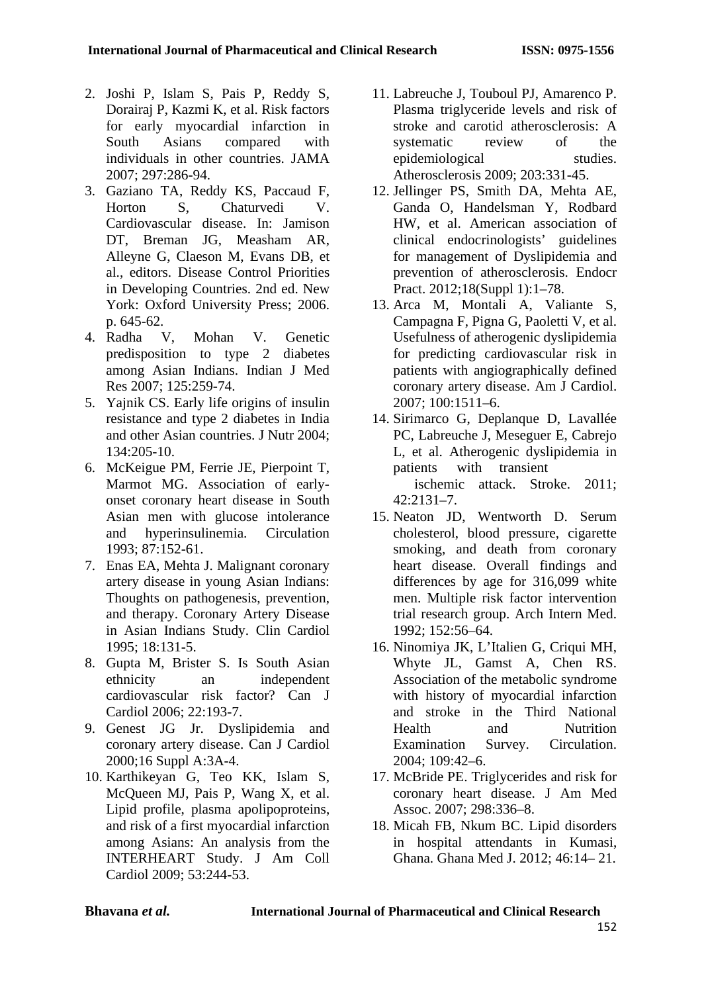- 2. Joshi P, Islam S, Pais P, Reddy S, Dorairaj P, Kazmi K, et al. Risk factors for early myocardial infarction in South Asians compared with individuals in other countries. JAMA 2007; 297:286-94.
- 3. Gaziano TA, Reddy KS, Paccaud F, Horton S, Chaturvedi V. Cardiovascular disease. In: Jamison DT, Breman JG, Measham AR, Alleyne G, Claeson M, Evans DB, et al., editors. Disease Control Priorities in Developing Countries. 2nd ed. New York: Oxford University Press; 2006. p. 645-62.
- 4. Radha V, Mohan V. Genetic predisposition to type 2 diabetes among Asian Indians. Indian J Med Res 2007; 125:259-74.
- 5. Yajnik CS. Early life origins of insulin resistance and type 2 diabetes in India and other Asian countries. J Nutr 2004; 134:205-10.
- 6. McKeigue PM, Ferrie JE, Pierpoint T, Marmot MG. Association of earlyonset coronary heart disease in South Asian men with glucose intolerance and hyperinsulinemia. Circulation 1993; 87:152-61.
- 7. Enas EA, Mehta J. Malignant coronary artery disease in young Asian Indians: Thoughts on pathogenesis, prevention, and therapy. Coronary Artery Disease in Asian Indians Study. Clin Cardiol 1995; 18:131-5.
- 8. Gupta M, Brister S. Is South Asian ethnicity an independent cardiovascular risk factor? Can J Cardiol 2006; 22:193-7.
- 9. Genest JG Jr. Dyslipidemia and coronary artery disease. Can J Cardiol 2000;16 Suppl A:3A-4.
- 10. Karthikeyan G, Teo KK, Islam S, McQueen MJ, Pais P, Wang X, et al. Lipid profile, plasma apolipoproteins, and risk of a first myocardial infarction among Asians: An analysis from the INTERHEART Study. J Am Coll Cardiol 2009; 53:244-53.
- 11. Labreuche J, Touboul PJ, Amarenco P. Plasma triglyceride levels and risk of stroke and carotid atherosclerosis: A systematic review of the epidemiological studies. Atherosclerosis 2009; 203:331-45.
- 12. Jellinger PS, Smith DA, Mehta AE, Ganda O, Handelsman Y, Rodbard HW, et al. American association of clinical endocrinologists' guidelines for management of Dyslipidemia and prevention of atherosclerosis. Endocr Pract. 2012;18(Suppl 1):1–78.
- 13. Arca M, Montali A, Valiante S, Campagna F, Pigna G, Paoletti V, et al. Usefulness of atherogenic dyslipidemia for predicting cardiovascular risk in patients with angiographically defined coronary artery disease. Am J Cardiol. 2007; 100:1511–6.
- 14. Sirimarco G, Deplanque D, Lavallée PC, Labreuche J, Meseguer E, Cabrejo L, et al. Atherogenic dyslipidemia in patients with transient ischemic attack. Stroke. 2011; 42:2131–7.
- 15. Neaton JD, Wentworth D. Serum cholesterol, blood pressure, cigarette smoking, and death from coronary heart disease. Overall findings and differences by age for 316,099 white men. Multiple risk factor intervention trial research group. Arch Intern Med. 1992; 152:56–64.
- 16. Ninomiya JK, L'Italien G, Criqui MH, Whyte JL, Gamst A, Chen RS. Association of the metabolic syndrome with history of myocardial infarction and stroke in the Third National Health and Nutrition Examination Survey. Circulation. 2004; 109:42–6.
- 17. McBride PE. Triglycerides and risk for coronary heart disease. J Am Med Assoc. 2007; 298:336–8.
- 18. Micah FB, Nkum BC. Lipid disorders in hospital attendants in Kumasi, Ghana. Ghana Med J. 2012; 46:14– 21.